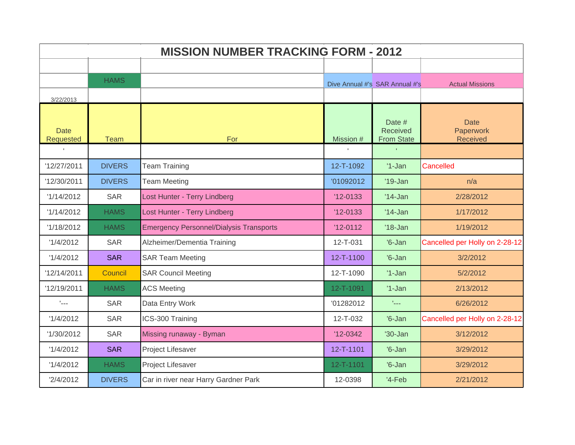| <b>MISSION NUMBER TRACKING FORM - 2012</b> |               |                                                |                 |                                         |                                             |  |
|--------------------------------------------|---------------|------------------------------------------------|-----------------|-----------------------------------------|---------------------------------------------|--|
|                                            |               |                                                |                 |                                         |                                             |  |
|                                            | <b>HAMS</b>   |                                                |                 | Dive Annual #'s SAR Annual #'s          | <b>Actual Missions</b>                      |  |
| 3/22/2013                                  |               |                                                |                 |                                         |                                             |  |
| <b>Date</b><br>Requested                   | <b>Team</b>   | For                                            | Mission #       | Date #<br>Received<br><b>From State</b> | <b>Date</b><br>Paperwork<br><b>Received</b> |  |
|                                            |               |                                                |                 |                                         |                                             |  |
| '12/27/2011                                | <b>DIVERS</b> | <b>Team Training</b>                           | 12-T-1092       | $'1-Jan$                                | Cancelled                                   |  |
| '12/30/2011                                | <b>DIVERS</b> | <b>Team Meeting</b>                            | '01092012       | $'19$ -Jan                              | n/a                                         |  |
| '1/14/2012                                 | <b>SAR</b>    | Lost Hunter - Terry Lindberg                   | $'12 - 0133$    | $'14$ -Jan                              | 2/28/2012                                   |  |
| '1/14/2012                                 | <b>HAMS</b>   | Lost Hunter - Terry Lindberg                   | $'12 - 0133$    | $'14$ -Jan                              | 1/17/2012                                   |  |
| '1/18/2012                                 | <b>HAMS</b>   | <b>Emergency Personnel/Dialysis Transports</b> | $'12-0112$      | $'18$ -Jan                              | 1/19/2012                                   |  |
| '1/4/2012                                  | <b>SAR</b>    | Alzheimer/Dementia Training                    | 12-T-031        | $'6$ -Jan                               | Cancelled per Holly on 2-28-12              |  |
| '1/4/2012                                  | <b>SAR</b>    | <b>SAR Team Meeting</b>                        | 12-T-1100       | $'6$ -Jan                               | 3/2/2012                                    |  |
| '12/14/2011                                | Council       | <b>SAR Council Meeting</b>                     | 12-T-1090       | $'1$ -Jan                               | 5/2/2012                                    |  |
| '12/19/2011                                | <b>HAMS</b>   | <b>ACS Meeting</b>                             | 12-T-1091       | $'1-Jan$                                | 2/13/2012                                   |  |
| $L_{\rm max}$                              | <b>SAR</b>    | Data Entry Work                                | '01282012       | tical.                                  | 6/26/2012                                   |  |
| '1/4/2012                                  | <b>SAR</b>    | ICS-300 Training                               | 12-T-032        | $'6$ -Jan                               | Cancelled per Holly on 2-28-12              |  |
| '1/30/2012                                 | <b>SAR</b>    | Missing runaway - Byman                        | $'12-0342$      | $'30 - Jan$                             | 3/12/2012                                   |  |
| '1/4/2012                                  | <b>SAR</b>    | Project Lifesaver                              | 12-T-1101       | $'6$ -Jan                               | 3/29/2012                                   |  |
| '1/4/2012                                  | <b>HAMS</b>   | Project Lifesaver                              | $12 - T - 1101$ | $'6$ -Jan                               | 3/29/2012                                   |  |
| '2/4/2012                                  | <b>DIVERS</b> | Car in river near Harry Gardner Park           | 12-0398         | $4-Feb$                                 | 2/21/2012                                   |  |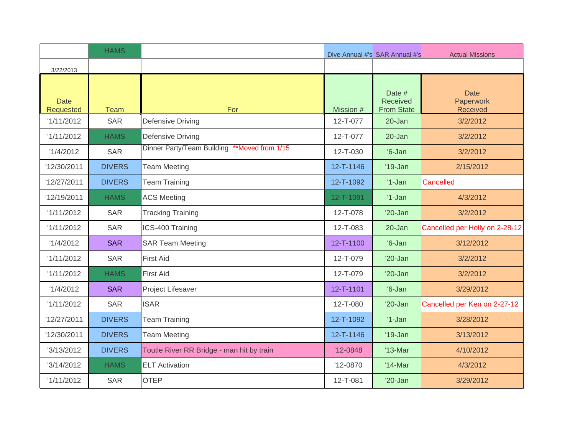|                                 | <b>HAMS</b>   |                                              |              | Dive Annual #'s SAR Annual #'s          | <b>Actual Missions</b>                      |
|---------------------------------|---------------|----------------------------------------------|--------------|-----------------------------------------|---------------------------------------------|
| 3/22/2013                       |               |                                              |              |                                         |                                             |
| <b>Date</b><br><b>Requested</b> | <b>Team</b>   | For                                          | Mission #    | Date #<br>Received<br><b>From State</b> | <b>Date</b><br>Paperwork<br><b>Received</b> |
| '1/11/2012                      | <b>SAR</b>    | Defensive Driving                            | 12-T-077     | $20 - Jan$                              | 3/2/2012                                    |
| '1/11/2012                      | <b>HAMS</b>   | Defensive Driving                            | 12-T-077     | 20-Jan                                  | 3/2/2012                                    |
| '1/4/2012                       | <b>SAR</b>    | Dinner Party/Team Building **Moved from 1/15 | 12-T-030     | $'6$ -Jan                               | 3/2/2012                                    |
| '12/30/2011                     | <b>DIVERS</b> | <b>Team Meeting</b>                          | 12-T-1146    | $'19$ -Jan                              | 2/15/2012                                   |
| '12/27/2011                     | <b>DIVERS</b> | <b>Team Training</b>                         | 12-T-1092    | $'1-Jan$                                | Cancelled                                   |
| '12/19/2011                     | <b>HAMS</b>   | <b>ACS Meeting</b>                           | 12-T-1091    | $'1-Jan$                                | 4/3/2012                                    |
| '1/11/2012                      | <b>SAR</b>    | <b>Tracking Training</b>                     | 12-T-078     | $'20$ -Jan                              | 3/2/2012                                    |
| '1/11/2012                      | <b>SAR</b>    | ICS-400 Training                             | 12-T-083     | 20-Jan                                  | Cancelled per Holly on 2-28-12              |
| '1/4/2012                       | <b>SAR</b>    | <b>SAR Team Meeting</b>                      | 12-T-1100    | $'6$ -Jan                               | 3/12/2012                                   |
| '1/11/2012                      | <b>SAR</b>    | <b>First Aid</b>                             | 12-T-079     | $'20$ -Jan                              | 3/2/2012                                    |
| '1/11/2012                      | <b>HAMS</b>   | <b>First Aid</b>                             | 12-T-079     | $'20$ -Jan                              | 3/2/2012                                    |
| '1/4/2012                       | <b>SAR</b>    | Project Lifesaver                            | 12-T-1101    | $'6$ -Jan                               | 3/29/2012                                   |
| '1/11/2012                      | <b>SAR</b>    | <b>ISAR</b>                                  | 12-T-080     | $'20$ -Jan                              | Cancelled per Ken on 2-27-12                |
| '12/27/2011                     | <b>DIVERS</b> | <b>Team Training</b>                         | 12-T-1092    | $'1-Jan$                                | 3/28/2012                                   |
| '12/30/2011                     | <b>DIVERS</b> | <b>Team Meeting</b>                          | 12-T-1146    | $'19$ -Jan                              | 3/13/2012                                   |
| '3/13/2012                      | <b>DIVERS</b> | Toutle River RR Bridge - man hit by train    | $'12 - 0848$ | $'13-Mar$                               | 4/10/2012                                   |
| '3/14/2012                      | <b>HAMS</b>   | <b>ELT Activation</b>                        | $'12-0870$   | '14-Mar                                 | 4/3/2012                                    |
| '1/11/2012                      | <b>SAR</b>    | <b>OTEP</b>                                  | 12-T-081     | $'20$ -Jan                              | 3/29/2012                                   |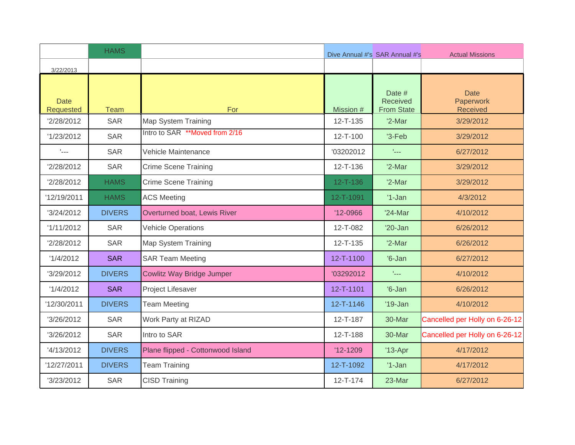|                           | <b>HAMS</b>   |                                   |                | Dive Annual #'s SAR Annual #'s          | <b>Actual Missions</b>                      |
|---------------------------|---------------|-----------------------------------|----------------|-----------------------------------------|---------------------------------------------|
| 3/22/2013                 |               |                                   |                |                                         |                                             |
| <b>Date</b><br>Requested  | <b>Team</b>   | For                               | Mission #      | Date #<br>Received<br><b>From State</b> | <b>Date</b><br>Paperwork<br><b>Received</b> |
| '2/28/2012                | <b>SAR</b>    | Map System Training               | $12 - T - 135$ | $'2$ -Mar                               | 3/29/2012                                   |
| '1/23/2012                | <b>SAR</b>    | Intro to SAR **Moved from 2/16    | $12 - T - 100$ | $3-Feb$                                 | 3/29/2012                                   |
| $\mathbf{L}_{\text{max}}$ | <b>SAR</b>    | Vehicle Maintenance               | '03202012      | $L_{\rm max}$                           | 6/27/2012                                   |
| '2/28/2012                | <b>SAR</b>    | Crime Scene Training              | 12-T-136       | $'2$ -Mar                               | 3/29/2012                                   |
| 2/28/2012                 | <b>HAMS</b>   | <b>Crime Scene Training</b>       | $12 - T - 136$ | $'2$ -Mar                               | 3/29/2012                                   |
| '12/19/2011               | <b>HAMS</b>   | <b>ACS Meeting</b>                | 12-T-1091      | $'1-Jan$                                | 4/3/2012                                    |
| '3/24/2012                | <b>DIVERS</b> | Overturned boat, Lewis River      | $'12-0966$     | '24-Mar                                 | 4/10/2012                                   |
| '1/11/2012                | <b>SAR</b>    | <b>Vehicle Operations</b>         | 12-T-082       | $'20$ -Jan                              | 6/26/2012                                   |
| '2/28/2012                | <b>SAR</b>    | Map System Training               | $12 - T - 135$ | $'2-Mar$                                | 6/26/2012                                   |
| '1/4/2012                 | <b>SAR</b>    | <b>SAR Team Meeting</b>           | 12-T-1100      | $'6$ -Jan                               | 6/27/2012                                   |
| '3/29/2012                | <b>DIVERS</b> | <b>Cowlitz Way Bridge Jumper</b>  | '03292012      | 1222                                    | 4/10/2012                                   |
| '1/4/2012                 | <b>SAR</b>    | Project Lifesaver                 | 12-T-1101      | $'6$ -Jan                               | 6/26/2012                                   |
| '12/30/2011               | <b>DIVERS</b> | <b>Team Meeting</b>               | 12-T-1146      | $'19$ -Jan                              | 4/10/2012                                   |
| '3/26/2012                | <b>SAR</b>    | Work Party at RIZAD               | $12 - T - 187$ | 30-Mar                                  | Cancelled per Holly on 6-26-12              |
| '3/26/2012                | <b>SAR</b>    | Intro to SAR                      | 12-T-188       | 30-Mar                                  | Cancelled per Holly on 6-26-12              |
| '4/13/2012                | <b>DIVERS</b> | Plane flipped - Cottonwood Island | $'12-1209$     | $'13-Apr$                               | 4/17/2012                                   |
| '12/27/2011               | <b>DIVERS</b> | <b>Team Training</b>              | 12-T-1092      | $'1-Jan$                                | 4/17/2012                                   |
| '3/23/2012                | <b>SAR</b>    | <b>CISD Training</b>              | $12 - T - 174$ | 23-Mar                                  | 6/27/2012                                   |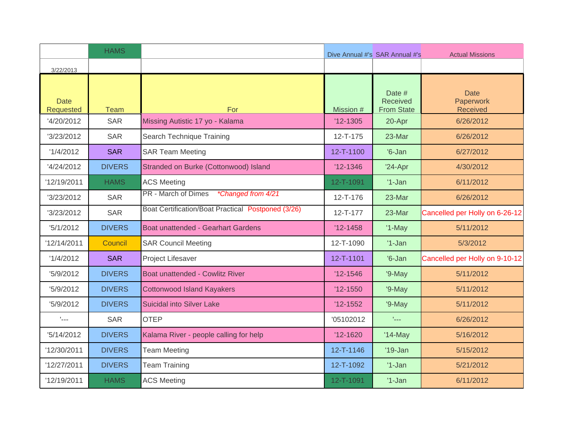|                          | <b>HAMS</b>   |                                                    |                 | Dive Annual #'s SAR Annual #'s          | <b>Actual Missions</b>                      |
|--------------------------|---------------|----------------------------------------------------|-----------------|-----------------------------------------|---------------------------------------------|
| 3/22/2013                |               |                                                    |                 |                                         |                                             |
| <b>Date</b><br>Requested | <b>Team</b>   | For                                                | Mission #       | Date #<br>Received<br><b>From State</b> | <b>Date</b><br>Paperwork<br><b>Received</b> |
| '4/20/2012               | <b>SAR</b>    | Missing Autistic 17 yo - Kalama                    | $'12-1305$      | 20-Apr                                  | 6/26/2012                                   |
| '3/23/2012               | <b>SAR</b>    | Search Technique Training                          | $12 - T - 175$  | 23-Mar                                  | 6/26/2012                                   |
| '1/4/2012                | <b>SAR</b>    | <b>SAR Team Meeting</b>                            | 12-T-1100       | $'6$ -Jan                               | 6/27/2012                                   |
| '4/24/2012               | <b>DIVERS</b> | Stranded on Burke (Cottonwood) Island              | $'12 - 1346$    | $'24-Apr$                               | 4/30/2012                                   |
| '12/19/2011              | <b>HAMS</b>   | <b>ACS Meeting</b>                                 | 12-T-1091       | $'1-Jan$                                | 6/11/2012                                   |
| '3/23/2012               | <b>SAR</b>    | *Changed from 4/21<br>PR - March of Dimes          | 12-T-176        | 23-Mar                                  | 6/26/2012                                   |
| '3/23/2012               | <b>SAR</b>    | Boat Certification/Boat Practical Postponed (3/26) | $12 - T - 177$  | 23-Mar                                  | Cancelled per Holly on 6-26-12              |
| 15/1/2012                | <b>DIVERS</b> | <b>Boat unattended - Gearhart Gardens</b>          | $'12-1458$      | $'1-May$                                | 5/11/2012                                   |
| '12/14/2011              | Council       | <b>SAR Council Meeting</b>                         | 12-T-1090       | $'1-Jan$                                | 5/3/2012                                    |
| '1/4/2012                | <b>SAR</b>    | Project Lifesaver                                  | $12 - T - 1101$ | $'6$ -Jan                               | Cancelled per Holly on 9-10-12              |
| '5/9/2012                | <b>DIVERS</b> | <b>Boat unattended - Cowlitz River</b>             | $'12 - 1546$    | '9-May                                  | 5/11/2012                                   |
| '5/9/2012                | <b>DIVERS</b> | <b>Cottonwood Island Kayakers</b>                  | $'12-1550$      | '9-May                                  | 5/11/2012                                   |
| '5/9/2012                | <b>DIVERS</b> | <b>Suicidal into Silver Lake</b>                   | $'12-1552$      | $9-May$                                 | 5/11/2012                                   |
| $L_{\rm max}$            | <b>SAR</b>    | <b>OTEP</b>                                        | '05102012       | $L_{\rm max}$                           | 6/26/2012                                   |
| 15/14/2012               | <b>DIVERS</b> | Kalama River - people calling for help             | $'12-1620$      | $'14$ -May                              | 5/16/2012                                   |
| '12/30/2011              | <b>DIVERS</b> | <b>Team Meeting</b>                                | 12-T-1146       | $'19$ -Jan                              | 5/15/2012                                   |
| '12/27/2011              | <b>DIVERS</b> | <b>Team Training</b>                               | 12-T-1092       | $'1-Jan$                                | 5/21/2012                                   |
| '12/19/2011              | <b>HAMS</b>   | <b>ACS Meeting</b>                                 | 12-T-1091       | $'1-Jan$                                | 6/11/2012                                   |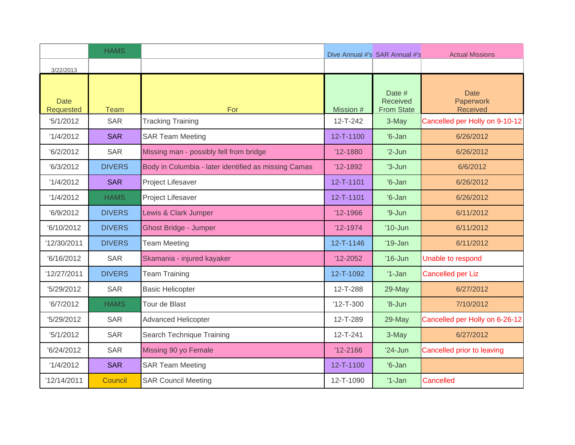|                          | <b>HAMS</b>   |                                                      |                 | Dive Annual #'s SAR Annual #'s          | <b>Actual Missions</b>                      |
|--------------------------|---------------|------------------------------------------------------|-----------------|-----------------------------------------|---------------------------------------------|
| 3/22/2013                |               |                                                      |                 |                                         |                                             |
| <b>Date</b><br>Requested | <b>Team</b>   | For                                                  | Mission #       | Date #<br>Received<br><b>From State</b> | <b>Date</b><br>Paperwork<br><b>Received</b> |
| 5/1/2012                 | <b>SAR</b>    | <b>Tracking Training</b>                             | $12 - T - 242$  | 3-May                                   | Cancelled per Holly on 9-10-12              |
| '1/4/2012                | <b>SAR</b>    | <b>SAR Team Meeting</b>                              | 12-T-1100       | $'6$ -Jan                               | 6/26/2012                                   |
| 6/2/2012                 | <b>SAR</b>    | Missing man - possibly fell from bridge              | $'12 - 1880$    | $'2-Jun$                                | 6/26/2012                                   |
| 6/3/2012                 | <b>DIVERS</b> | Body in Columbia - later identified as missing Camas | $'12-1892$      | $3-Jun$                                 | 6/6/2012                                    |
| '1/4/2012                | <b>SAR</b>    | Project Lifesaver                                    | 12-T-1101       | $'6$ -Jan                               | 6/26/2012                                   |
| '1/4/2012                | <b>HAMS</b>   | Project Lifesaver                                    | 12-T-1101       | $'6$ -Jan                               | 6/26/2012                                   |
| '6/9/2012                | <b>DIVERS</b> | Lewis & Clark Jumper                                 | $'12-1966$      | $9 - Jun$                               | 6/11/2012                                   |
| '6/10/2012               | <b>DIVERS</b> | <b>Ghost Bridge - Jumper</b>                         | $'12-1974$      | $'10$ -Jun                              | 6/11/2012                                   |
| '12/30/2011              | <b>DIVERS</b> | <b>Team Meeting</b>                                  | 12-T-1146       | $'19$ -Jan                              | 6/11/2012                                   |
| '6/16/2012               | <b>SAR</b>    | Skamania - injured kayaker                           | $'12 - 2052$    | $'16$ -Jun                              | Unable to respond                           |
| '12/27/2011              | <b>DIVERS</b> | <b>Team Training</b>                                 | 12-T-1092       | $'1-Jan$                                | <b>Cancelled per Liz</b>                    |
| '5/29/2012               | <b>SAR</b>    | <b>Basic Helicopter</b>                              | 12-T-288        | 29-May                                  | 6/27/2012                                   |
| 6/7/2012                 | <b>HAMS</b>   | Tour de Blast                                        | $'12 - T - 300$ | $'8$ -Jun                               | 7/10/2012                                   |
| '5/29/2012               | <b>SAR</b>    | Advanced Helicopter                                  | 12-T-289        | 29-May                                  | Cancelled per Holly on 6-26-12              |
| 15/1/2012                | <b>SAR</b>    | Search Technique Training                            | $12 - T - 241$  | 3-May                                   | 6/27/2012                                   |
| 6/24/2012                | <b>SAR</b>    | Missing 90 yo Female                                 | $'12 - 2166$    | $'24$ -Jun                              | Cancelled prior to leaving                  |
| '1/4/2012                | <b>SAR</b>    | <b>SAR Team Meeting</b>                              | 12-T-1100       | $'6$ -Jan                               |                                             |
| '12/14/2011              | Council       | <b>SAR Council Meeting</b>                           | 12-T-1090       | $'1-Jan$                                | Cancelled                                   |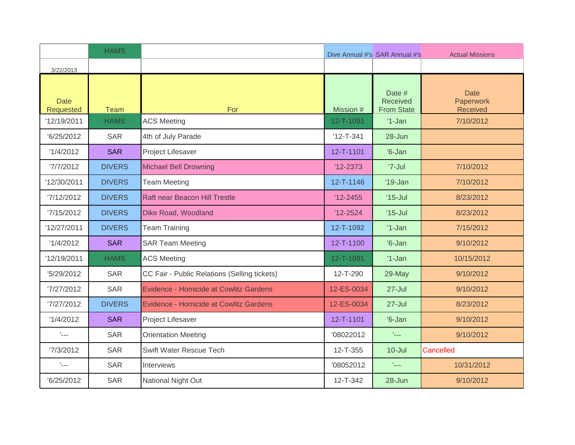|                                 | <b>HAMS</b>   |                                               |                 | Dive Annual #'s SAR Annual #'s          | <b>Actual Missions</b>                      |
|---------------------------------|---------------|-----------------------------------------------|-----------------|-----------------------------------------|---------------------------------------------|
| 3/22/2013                       |               |                                               |                 |                                         |                                             |
| <b>Date</b><br><b>Requested</b> | <b>Team</b>   | For                                           | Mission #       | Date #<br>Received<br><b>From State</b> | <b>Date</b><br>Paperwork<br><b>Received</b> |
| '12/19/2011                     | <b>HAMS</b>   | <b>ACS Meeting</b>                            | 12-T-1091       | $'1-Jan$                                | 7/10/2012                                   |
| '6/25/2012                      | <b>SAR</b>    | 4th of July Parade                            | $'12 - T - 341$ | 28-Jun                                  |                                             |
| '1/4/2012                       | <b>SAR</b>    | Project Lifesaver                             | 12-T-1101       | $'6$ -Jan                               |                                             |
| '7/7/2012                       | <b>DIVERS</b> | <b>Michael Bell Drowning</b>                  | $'12 - 2373$    | '7-Jul                                  | 7/10/2012                                   |
| '12/30/2011                     | <b>DIVERS</b> | <b>Team Meeting</b>                           | 12-T-1146       | $'19$ -Jan                              | 7/10/2012                                   |
| '7/12/2012                      | <b>DIVERS</b> | Raft near Beacon Hill Trestle                 | $'12 - 2455$    | $'15$ -Jul                              | 8/23/2012                                   |
| '7/15/2012                      | <b>DIVERS</b> | Dike Road, Woodland                           | $'12 - 2524$    | $'15$ -Jul                              | 8/23/2012                                   |
| '12/27/2011                     | <b>DIVERS</b> | <b>Team Training</b>                          | 12-T-1092       | $'1-Jan$                                | 7/15/2012                                   |
| '1/4/2012                       | <b>SAR</b>    | <b>SAR Team Meeting</b>                       | 12-T-1100       | $'6$ -Jan                               | 9/10/2012                                   |
| '12/19/2011                     | <b>HAMS</b>   | <b>ACS Meeting</b>                            | 12-T-1091       | $'1-Jan$                                | 10/15/2012                                  |
| '5/29/2012                      | <b>SAR</b>    | CC Fair - Public Relations (Selling tickets)  | 12-T-290        | 29-May                                  | 9/10/2012                                   |
| 7/27/2012                       | <b>SAR</b>    | <b>Evidence - Homicide at Cowlitz Gardens</b> | 12-ES-0034      | $27 -$ Jul                              | 9/10/2012                                   |
| 7/27/2012                       | <b>DIVERS</b> | <b>Evidence - Homicide at Cowlitz Gardens</b> | 12-ES-0034      | $27 -$ Jul                              | 8/23/2012                                   |
| '1/4/2012                       | <b>SAR</b>    | Project Lifesaver                             | 12-T-1101       | $'6$ -Jan                               | 9/10/2012                                   |
| $\mathbf{L}_{\text{max}}$       | <b>SAR</b>    | <b>Orientation Meeting</b>                    | '08022012       | $\mathcal{L}_{\text{max}}$              | 9/10/2012                                   |
| 7/3/2012                        | <b>SAR</b>    | Swift Water Rescue Tech                       | 12-T-355        | $10 -$ Jul                              | Cancelled                                   |
| $L_{\rm max}$                   | <b>SAR</b>    | <b>Interviews</b>                             | '08052012       | $L_{\rm max}$                           | 10/31/2012                                  |
| '6/25/2012                      | <b>SAR</b>    | National Night Out                            | 12-T-342        | 28-Jun                                  | 9/10/2012                                   |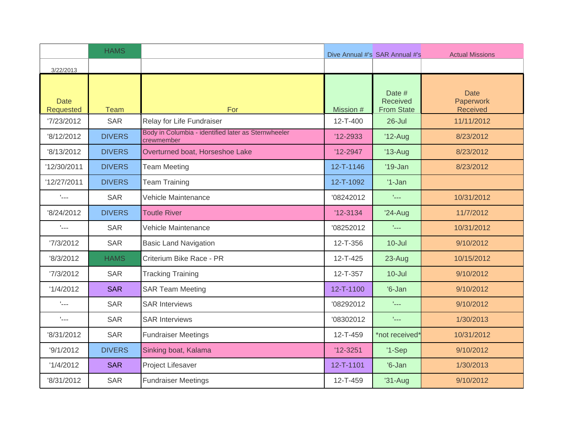|                           | <b>HAMS</b>   |                                                                   |                | Dive Annual #'s SAR Annual #'s          | <b>Actual Missions</b>                      |
|---------------------------|---------------|-------------------------------------------------------------------|----------------|-----------------------------------------|---------------------------------------------|
| 3/22/2013                 |               |                                                                   |                |                                         |                                             |
| <b>Date</b><br>Requested  | <b>Team</b>   | For                                                               | Mission #      | Date #<br>Received<br><b>From State</b> | <b>Date</b><br>Paperwork<br><b>Received</b> |
| 7/23/2012                 | <b>SAR</b>    | Relay for Life Fundraiser                                         | $12 - T - 400$ | $26$ -Jul                               | 11/11/2012                                  |
| '8/12/2012                | <b>DIVERS</b> | Body in Columbia - identified later as Sternwheeler<br>crewmember | $'12 - 2933$   | $'12$ -Aug                              | 8/23/2012                                   |
| '8/13/2012                | <b>DIVERS</b> | Overturned boat, Horseshoe Lake                                   | $'12 - 2947$   | $'13$ -Aug                              | 8/23/2012                                   |
| '12/30/2011               | <b>DIVERS</b> | <b>Team Meeting</b>                                               | 12-T-1146      | $'19$ -Jan                              | 8/23/2012                                   |
| '12/27/2011               | <b>DIVERS</b> | <b>Team Training</b>                                              | 12-T-1092      | $'1$ -Jan                               |                                             |
| $\mathbf{L}_{\text{max}}$ | <b>SAR</b>    | Vehicle Maintenance                                               | '08242012      | $L_{\rm max}$                           | 10/31/2012                                  |
| '8/24/2012                | <b>DIVERS</b> | <b>Toutle River</b>                                               | $'12-3134$     | $'24-Aug$                               | 11/7/2012                                   |
| $\mathbf{L}_{\text{max}}$ | <b>SAR</b>    | Vehicle Maintenance                                               | '08252012      | t <sub>an</sub>                         | 10/31/2012                                  |
| '7/3/2012                 | <b>SAR</b>    | <b>Basic Land Navigation</b>                                      | 12-T-356       | $10 -$ Jul                              | 9/10/2012                                   |
| '8/3/2012                 | <b>HAMS</b>   | Criterium Bike Race - PR                                          | 12-T-425       | 23-Aug                                  | 10/15/2012                                  |
| '7/3/2012                 | <b>SAR</b>    | <b>Tracking Training</b>                                          | 12-T-357       | $10 -$ Jul                              | 9/10/2012                                   |
| '1/4/2012                 | <b>SAR</b>    | <b>SAR Team Meeting</b>                                           | 12-T-1100      | $'6$ -Jan                               | 9/10/2012                                   |
| $\mathbf{L}_{\text{max}}$ | <b>SAR</b>    | <b>SAR Interviews</b>                                             | '08292012      | tical.                                  | 9/10/2012                                   |
| $L_{\rm max}$             | <b>SAR</b>    | <b>SAR Interviews</b>                                             | '08302012      | $\mathbf{r}_{\text{max}}$               | 1/30/2013                                   |
| '8/31/2012                | <b>SAR</b>    | <b>Fundraiser Meetings</b>                                        | 12-T-459       | *not received*                          | 10/31/2012                                  |
| 9/1/2012                  | <b>DIVERS</b> | Sinking boat, Kalama                                              | $'12 - 3251$   | $'1-Sep$                                | 9/10/2012                                   |
| '1/4/2012                 | <b>SAR</b>    | Project Lifesaver                                                 | 12-T-1101      | $'6$ -Jan                               | 1/30/2013                                   |
| '8/31/2012                | <b>SAR</b>    | <b>Fundraiser Meetings</b>                                        | 12-T-459       | $'31-Aug$                               | 9/10/2012                                   |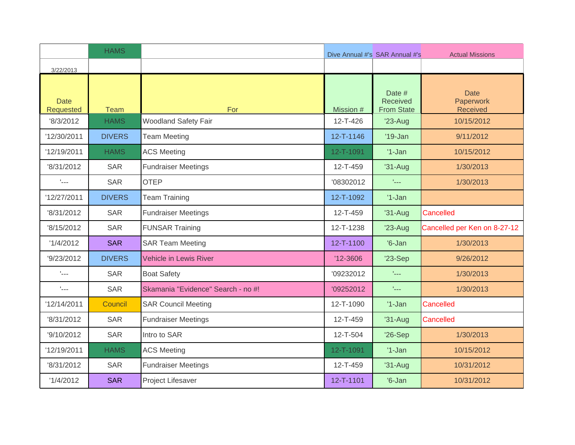|                           | <b>HAMS</b>   |                                    |                | Dive Annual #'s SAR Annual #'s          | <b>Actual Missions</b>                      |
|---------------------------|---------------|------------------------------------|----------------|-----------------------------------------|---------------------------------------------|
| 3/22/2013                 |               |                                    |                |                                         |                                             |
| <b>Date</b><br>Requested  | Team          | For                                | Mission #      | Date #<br>Received<br><b>From State</b> | <b>Date</b><br>Paperwork<br><b>Received</b> |
| '8/3/2012                 | <b>HAMS</b>   | Woodland Safety Fair               | $12 - T - 426$ | $'23$ -Aug                              | 10/15/2012                                  |
| '12/30/2011               | <b>DIVERS</b> | <b>Team Meeting</b>                | 12-T-1146      | $'19$ -Jan                              | 9/11/2012                                   |
| '12/19/2011               | <b>HAMS</b>   | <b>ACS Meeting</b>                 | 12-T-1091      | $'1-Jan$                                | 10/15/2012                                  |
| '8/31/2012                | <b>SAR</b>    | <b>Fundraiser Meetings</b>         | 12-T-459       | $'31-Auq$                               | 1/30/2013                                   |
| $L_{\text{max}}$          | <b>SAR</b>    | <b>OTEP</b>                        | '08302012      | $L_{\rm max}$                           | 1/30/2013                                   |
| '12/27/2011               | <b>DIVERS</b> | <b>Team Training</b>               | 12-T-1092      | $'1-Jan$                                |                                             |
| '8/31/2012                | <b>SAR</b>    | <b>Fundraiser Meetings</b>         | 12-T-459       | $'31-Aug$                               | Cancelled                                   |
| '8/15/2012                | <b>SAR</b>    | <b>FUNSAR Training</b>             | 12-T-1238      | $'23-Aug$                               | Cancelled per Ken on 8-27-12                |
| '1/4/2012                 | <b>SAR</b>    | <b>SAR Team Meeting</b>            | 12-T-1100      | $'6$ -Jan                               | 1/30/2013                                   |
| '9/23/2012                | <b>DIVERS</b> | <b>Vehicle in Lewis River</b>      | $'12 - 3606$   | $'23-Sep$                               | 9/26/2012                                   |
| $\mathbf{L}_{\text{max}}$ | <b>SAR</b>    | <b>Boat Safety</b>                 | '09232012      | $L_{\rm max}$                           | 1/30/2013                                   |
| $\mathbf{L}_{\text{max}}$ | <b>SAR</b>    | Skamania "Evidence" Search - no #! | '09252012      | $L_{\rm max}$                           | 1/30/2013                                   |
| '12/14/2011               | Council       | <b>SAR Council Meeting</b>         | 12-T-1090      | $'1-Jan$                                | Cancelled                                   |
| '8/31/2012                | <b>SAR</b>    | <b>Fundraiser Meetings</b>         | 12-T-459       | $'31-Aug$                               | Cancelled                                   |
| '9/10/2012                | <b>SAR</b>    | Intro to SAR                       | 12-T-504       | '26-Sep                                 | 1/30/2013                                   |
| '12/19/2011               | <b>HAMS</b>   | <b>ACS Meeting</b>                 | 12-T-1091      | $'1-Jan$                                | 10/15/2012                                  |
| '8/31/2012                | <b>SAR</b>    | <b>Fundraiser Meetings</b>         | 12-T-459       | $'31-Aug$                               | 10/31/2012                                  |
| '1/4/2012                 | <b>SAR</b>    | Project Lifesaver                  | 12-T-1101      | $'6$ -Jan                               | 10/31/2012                                  |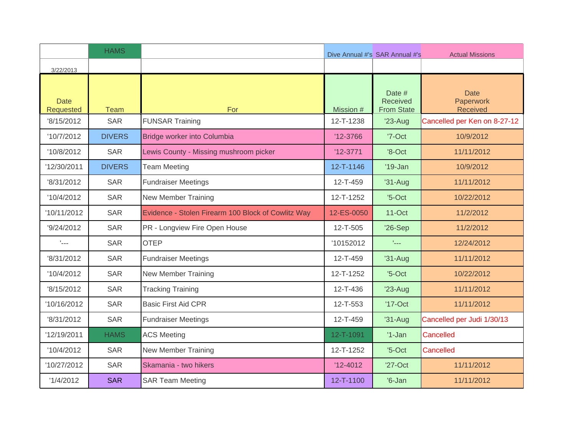|                           | <b>HAMS</b>   |                                                    |              | Dive Annual #'s SAR Annual #'s          | <b>Actual Missions</b>               |
|---------------------------|---------------|----------------------------------------------------|--------------|-----------------------------------------|--------------------------------------|
| 3/22/2013                 |               |                                                    |              |                                         |                                      |
| <b>Date</b><br>Requested  | <b>Team</b>   | For                                                | Mission #    | Date #<br>Received<br><b>From State</b> | <b>Date</b><br>Paperwork<br>Received |
| '8/15/2012                | <b>SAR</b>    | <b>FUNSAR Training</b>                             | 12-T-1238    | $'23-Aug$                               | Cancelled per Ken on 8-27-12         |
| '10/7/2012                | <b>DIVERS</b> | Bridge worker into Columbia                        | $'12-3766$   | '7-Oct                                  | 10/9/2012                            |
| '10/8/2012                | <b>SAR</b>    | Lewis County - Missing mushroom picker             | $'12-3771$   | $'8$ -Oct                               | 11/11/2012                           |
| '12/30/2011               | <b>DIVERS</b> | <b>Team Meeting</b>                                | 12-T-1146    | $'19$ -Jan                              | 10/9/2012                            |
| '8/31/2012                | <b>SAR</b>    | <b>Fundraiser Meetings</b>                         | 12-T-459     | $'31-Auq$                               | 11/11/2012                           |
| '10/4/2012                | <b>SAR</b>    | <b>New Member Training</b>                         | 12-T-1252    | $5-Oct$                                 | 10/22/2012                           |
| '10/11/2012               | <b>SAR</b>    | Evidence - Stolen Firearm 100 Block of Cowlitz Way | 12-ES-0050   | $11-Oct$                                | 11/2/2012                            |
| '9/24/2012                | <b>SAR</b>    | PR - Longview Fire Open House                      | 12-T-505     | $'26-Sep$                               | 11/2/2012                            |
| $\mathbf{L}_{\text{max}}$ | <b>SAR</b>    | <b>OTEP</b>                                        | '10152012    | t <sub>an</sub>                         | 12/24/2012                           |
| '8/31/2012                | <b>SAR</b>    | <b>Fundraiser Meetings</b>                         | 12-T-459     | $'31-Auq$                               | 11/11/2012                           |
| '10/4/2012                | <b>SAR</b>    | <b>New Member Training</b>                         | 12-T-1252    | $5-Oct$                                 | 10/22/2012                           |
| '8/15/2012                | <b>SAR</b>    | <b>Tracking Training</b>                           | 12-T-436     | $'23-Aug$                               | 11/11/2012                           |
| '10/16/2012               | <b>SAR</b>    | <b>Basic First Aid CPR</b>                         | 12-T-553     | $'17$ -Oct                              | 11/11/2012                           |
| '8/31/2012                | <b>SAR</b>    | <b>Fundraiser Meetings</b>                         | 12-T-459     | $'31-Aug$                               | Cancelled per Judi 1/30/13           |
| '12/19/2011               | <b>HAMS</b>   | <b>ACS Meeting</b>                                 | 12-T-1091    | $'1-Jan$                                | Cancelled                            |
| '10/4/2012                | <b>SAR</b>    | <b>New Member Training</b>                         | 12-T-1252    | $5-Oct$                                 | Cancelled                            |
| '10/27/2012               | <b>SAR</b>    | Skamania - two hikers                              | $'12 - 4012$ | $'27$ -Oct                              | 11/11/2012                           |
| '1/4/2012                 | <b>SAR</b>    | <b>SAR Team Meeting</b>                            | 12-T-1100    | $'6$ -Jan                               | 11/11/2012                           |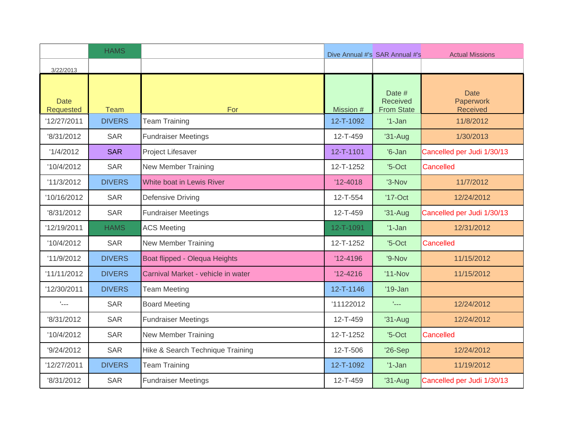|                           | <b>HAMS</b>   |                                    |              | Dive Annual #'s SAR Annual #'s                 | <b>Actual Missions</b>                      |
|---------------------------|---------------|------------------------------------|--------------|------------------------------------------------|---------------------------------------------|
| 3/22/2013                 |               |                                    |              |                                                |                                             |
| <b>Date</b><br>Requested  | <b>Team</b>   | For                                | Mission #    | Date #<br><b>Received</b><br><b>From State</b> | <b>Date</b><br>Paperwork<br><b>Received</b> |
| '12/27/2011               | <b>DIVERS</b> | <b>Team Training</b>               | 12-T-1092    | $'1-Jan$                                       | 11/8/2012                                   |
| '8/31/2012                | <b>SAR</b>    | <b>Fundraiser Meetings</b>         | 12-T-459     | $'31-Aug$                                      | 1/30/2013                                   |
| '1/4/2012                 | <b>SAR</b>    | Project Lifesaver                  | 12-T-1101    | $'6$ -Jan                                      | Cancelled per Judi 1/30/13                  |
| '10/4/2012                | <b>SAR</b>    | <b>New Member Training</b>         | 12-T-1252    | $5-Oct$                                        | Cancelled                                   |
| '11/3/2012                | <b>DIVERS</b> | White boat in Lewis River          | $'12 - 4018$ | '3-Nov                                         | 11/7/2012                                   |
| '10/16/2012               | <b>SAR</b>    | Defensive Driving                  | 12-T-554     | $'17$ -Oct                                     | 12/24/2012                                  |
| '8/31/2012                | <b>SAR</b>    | <b>Fundraiser Meetings</b>         | 12-T-459     | $'31-Aug$                                      | Cancelled per Judi 1/30/13                  |
| '12/19/2011               | <b>HAMS</b>   | <b>ACS Meeting</b>                 | 12-T-1091    | $'1-Jan$                                       | 12/31/2012                                  |
| '10/4/2012                | <b>SAR</b>    | <b>New Member Training</b>         | 12-T-1252    | $5-Oct$                                        | Cancelled                                   |
| '11/9/2012                | <b>DIVERS</b> | Boat flipped - Olequa Heights      | $'12 - 4196$ | '9-Nov                                         | 11/15/2012                                  |
| '11/11/2012               | <b>DIVERS</b> | Carnival Market - vehicle in water | $'12 - 4216$ | $'11-Nov$                                      | 11/15/2012                                  |
| '12/30/2011               | <b>DIVERS</b> | <b>Team Meeting</b>                | 12-T-1146    | $'19$ -Jan                                     |                                             |
| $\mathbf{L}_{\text{max}}$ | <b>SAR</b>    | <b>Board Meeting</b>               | '11122012    | tical.                                         | 12/24/2012                                  |
| '8/31/2012                | <b>SAR</b>    | <b>Fundraiser Meetings</b>         | 12-T-459     | $'31-Aug$                                      | 12/24/2012                                  |
| '10/4/2012                | <b>SAR</b>    | <b>New Member Training</b>         | 12-T-1252    | $5-Oct$                                        | Cancelled                                   |
| '9/24/2012                | <b>SAR</b>    | Hike & Search Technique Training   | 12-T-506     | $'26-Sep$                                      | 12/24/2012                                  |
| '12/27/2011               | <b>DIVERS</b> | <b>Team Training</b>               | 12-T-1092    | $'1$ -Jan                                      | 11/19/2012                                  |
| '8/31/2012                | <b>SAR</b>    | <b>Fundraiser Meetings</b>         | 12-T-459     | $'31-Aug$                                      | Cancelled per Judi 1/30/13                  |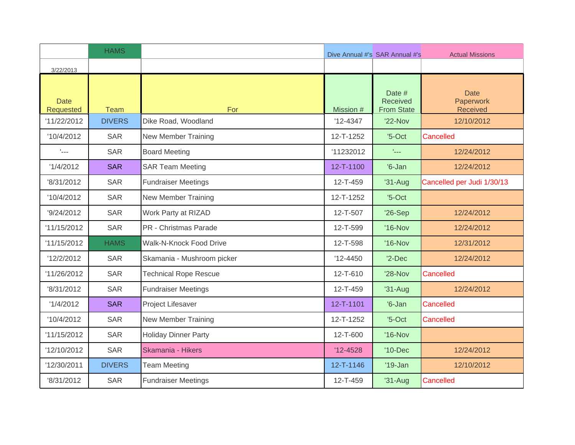|                                 | <b>HAMS</b>   |                              |              | Dive Annual #'s SAR Annual #'s          | <b>Actual Missions</b>                      |
|---------------------------------|---------------|------------------------------|--------------|-----------------------------------------|---------------------------------------------|
| 3/22/2013                       |               |                              |              |                                         |                                             |
| <b>Date</b><br><b>Requested</b> | <b>Team</b>   | For                          | Mission #    | Date #<br>Received<br><b>From State</b> | <b>Date</b><br>Paperwork<br><b>Received</b> |
| '11/22/2012                     | <b>DIVERS</b> | Dike Road, Woodland          | $'12 - 4347$ | '22-Nov                                 | 12/10/2012                                  |
| '10/4/2012                      | <b>SAR</b>    | New Member Training          | 12-T-1252    | $5-Oct$                                 | Cancelled                                   |
| $\mathbf{L}_{\text{max}}$       | <b>SAR</b>    | <b>Board Meeting</b>         | '11232012    | t <sub>ana</sub>                        | 12/24/2012                                  |
| '1/4/2012                       | <b>SAR</b>    | <b>SAR Team Meeting</b>      | 12-T-1100    | $'6$ -Jan                               | 12/24/2012                                  |
| '8/31/2012                      | <b>SAR</b>    | <b>Fundraiser Meetings</b>   | 12-T-459     | $'31-Aug$                               | Cancelled per Judi 1/30/13                  |
| '10/4/2012                      | <b>SAR</b>    | <b>New Member Training</b>   | 12-T-1252    | $5-Oct$                                 |                                             |
| '9/24/2012                      | <b>SAR</b>    | Work Party at RIZAD          | 12-T-507     | $'26-Sep$                               | 12/24/2012                                  |
| '11/15/2012                     | <b>SAR</b>    | PR - Christmas Parade        | 12-T-599     | $'16-Nov$                               | 12/24/2012                                  |
| '11/15/2012                     | <b>HAMS</b>   | Walk-N-Knock Food Drive      | 12-T-598     | '16-Nov                                 | 12/31/2012                                  |
| '12/2/2012                      | <b>SAR</b>    | Skamania - Mushroom picker   | $'12 - 4450$ | $'2$ -Dec                               | 12/24/2012                                  |
| '11/26/2012                     | <b>SAR</b>    | <b>Technical Rope Rescue</b> | 12-T-610     | '28-Nov                                 | Cancelled                                   |
| '8/31/2012                      | <b>SAR</b>    | <b>Fundraiser Meetings</b>   | 12-T-459     | $'31-Aug$                               | 12/24/2012                                  |
| '1/4/2012                       | <b>SAR</b>    | Project Lifesaver            | 12-T-1101    | $'6$ -Jan                               | Cancelled                                   |
| '10/4/2012                      | <b>SAR</b>    | New Member Training          | 12-T-1252    | $5-Oct$                                 | Cancelled                                   |
| '11/15/2012                     | <b>SAR</b>    | <b>Holiday Dinner Party</b>  | 12-T-600     | '16-Nov                                 |                                             |
| '12/10/2012                     | <b>SAR</b>    | Skamania - Hikers            | $'12 - 4528$ | '10-Dec                                 | 12/24/2012                                  |
| '12/30/2011                     | <b>DIVERS</b> | <b>Team Meeting</b>          | 12-T-1146    | $'19$ -Jan                              | 12/10/2012                                  |
| '8/31/2012                      | <b>SAR</b>    | <b>Fundraiser Meetings</b>   | 12-T-459     | $'31-Aug$                               | Cancelled                                   |